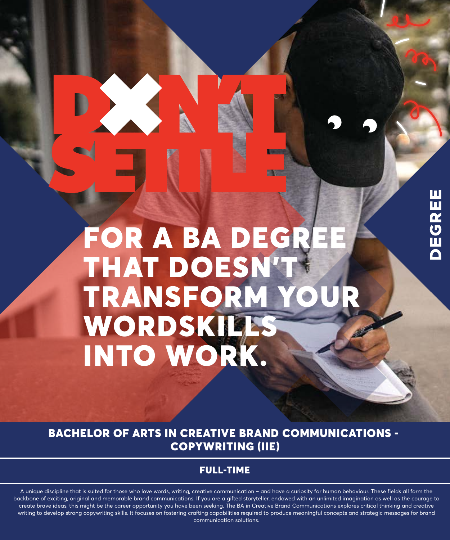# Ш DEGREI

# FOR A BA DEGR THAT DOESN'T TRANSFORM YO WORDSKILLS INTO WORK.

2250

BACHELOR OF ARTS IN CREATIVE BRAND COMMUNICATIONS - COPYWRITING (IIE)

## FULL-TIME

A unique discipline that is suited for those who love words, writing, creative communication – and have a curiosity for human behaviour. These fields all form the backbone of exciting, original and memorable brand communications. If you are a gifted storyteller, endowed with an unlimited imagination as well as the courage to create brave ideas, this might be the career opportunity you have been seeking. The BA in Creative Brand Communications explores critical thinking and creative writing to develop strong copywriting skills. It focuses on fostering crafting capabilities required to produce meaningful concepts and strategic messages for brand communication solutions.